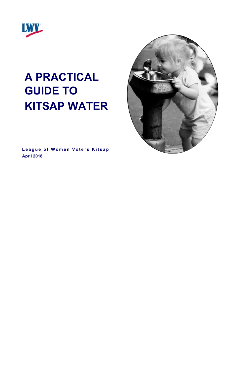

# **A PRACTICAL GUIDE TO KITSAP WATER**

**League of Women Voters Kitsap April 2018**

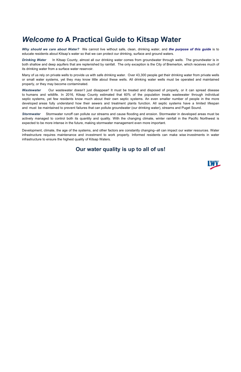# *Welcome to* **A Practical Guide to Kitsap Water**

*Why should we care about Water?* We cannot live without safe, clean, drinking water, and *the purpose of this guide* is to educate residents about Kitsap's water so that we can protect our drinking, surface and ground waters.

*Drinking Water* In Kitsap County, almost all our drinking water comes from groundwater through wells. The groundwater is in both shallow and deep aquifers that are replenished by rainfall. The only exception is the City of Bremerton, which receives much of its drinking water from a surface water reservoir.

Many of us rely on private wells to provide us with safe drinking water. Over 43,300 people get their drinking water from private wells or small water systems, yet they may know little about these wells. All drinking water wells must be operated and maintained properly, or they may become contaminated.

*Wastewater* Our wastewater doesn't just disappear! It must be treated and disposed of properly, or it can spread disease to humans and wildlife. In 2016, Kitsap County estimated that 60% of the population treats wastewater through individual septic systems, yet few residents know much about their own septic systems. An even smaller number of people in the more developed areas fully understand how their sewers and treatment plants function. All septic systems have a limited lifespan and must be maintained to prevent failures that can pollute groundwater (our drinking water), streams and Puget Sound.

*Stormwater* Stormwater runoff can pollute our streams and cause flooding and erosion. Stormwater in developed areas must be actively managed to control both its quantity and quality. With the changing climate, winter rainfall in the Pacific Northwest is expected to be more intense in the future, making stormwater management even more important.

Development, climate, the age of the systems, and other factors are constantly changing--all can impact our water resources. Water infrastructure requires maintenance and investment to work properly. Informed residents can make wise investments in water infrastructure to ensure the highest quality of Kitsap Waters.

# **Our water quality is up to all of us!**

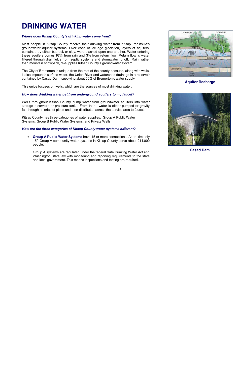# **DRINKING WATER**

#### *Where does Kitsap County's drinking water come from?*

Most people in Kitsap County receive their drinking water from Kitsap Peninsula's groundwater aquifer systems. Over eons of ice age glaciation, layers of aquifers, contained by either bedrock or clay, were stacked upon one another. Water entering these aquifers comes 97% from rain and 3% from return flow. Return flow is water filtered through drainfields from septic systems and stormwater runoff. Rain, rather than mountain snowpack, re-supplies Kitsap County's groundwater system.

The City of Bremerton is unique from the rest of the county because, along with wells, it also impounds surface water, the Union River and watershed drainage in a reservoir contained by Casad Dam, supplying about 60% of Bremerton's water supply.

This guide focuses on wells, which are the sources of most drinking water.

#### *How does drinking water get from underground aquifers to my faucet?*

Wells throughout Kitsap County pump water from groundwater aquifers into water storage reservoirs or pressure tanks. From there, water is either pumped or gravity fed through a series of pipes and then distributed across the service area to faucets.

Kitsap County has three categories of water supplies: Group A Public Water Systems, Group B Public Water Systems, and Private Wells.

#### *How are the three categories of Kitsap County water systems different?*

 **Group A Public Water Systems** have 15 or more connections. Approximately 150 Group A community water systems in Kitsap County serve about 214,000 people.

Group A systems are regulated under the federal Safe Drinking Water Act and Washington State law with monitoring and reporting requirements to the state and local government. This means inspections and testing are required.



### **Aquifer Recharge**



**Casad Dam**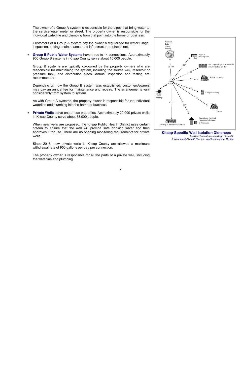The owner of a Group A system is responsible for the pipes that bring water to the service/water meter or street. The property owner is responsible for the individual waterline and plumbing from that point into the home or business.

Customers of a Group A system pay the owner a regular fee for water usage, inspection, testing, maintenance, and infrastructure replacement.

 **Group B Public Water Systems** have three to 14 connections. Approximately 900 Group B systems in Kitsap County serve about 10,000 people.

Group B systems are typically co-owned by the property owners who are responsible for maintaining the system, including the source well, reservoir or pressure tank, and distribution pipes. Annual inspection and testing are recommended.

Depending on how the Group B system was established, customers/owners may pay an annual fee for maintenance and repairs. The arrangements vary considerably from system to system.

As with Group A systems, the property owner is responsible for the individual waterline and plumbing into the home or business.

 **Private Wells** serve one or two properties. Approximately 20,000 private wells in Kitsap County serve about 33,000 people.

When new wells are proposed, the Kitsap Public Health District uses certain criteria to ensure that the well will provide safe drinking water and then approves it for use. There are no ongoing monitoring requirements for private wells.

Since 2018, new private wells in Kitsap County are allowed a maximum withdrawal rate of 950 gallons per day per connection.

The property owner is responsible for all the parts of a private well, including the waterline and plumbing.



**Kitsap-Specific Well Isolation Distances**  *Modified from Minnesota Dept. of Health, Environmental Health Division, Well Management Section*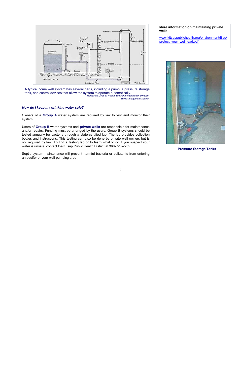

A typical home well system has several parts, including a pump, a pressure storage tank, and control devices that allow the system to operate automatically. *Minnesota Dept. of Health, Environmental Health Division, Well Management Section*

#### *How do I keep my drinking water safe?*

Owners of a **Group A** water system are required by law to test and monitor their system.

Users of **Group B** water systems and **private wells** are responsible for maintenance and/or repairs. Funding must be arranged by the users. Group B systems should be tested annually for bacteria through a state-certified lab. The lab provides collection bottles and instructions. This testing can also be done by private well owners but is not required by law. To find a testing lab or to learn what to do if you suspect your water is unsafe, contact the Kitsap Public Health District at 360-728-2235.

Septic system maintenance will prevent harmful bacteria or pollutants from entering an aquifer or your well-pumping area.

#### **More information on maintaining private wells:**

www.kitsappublichealth.org/environment/files/ protect\_your\_wellhead.pdf



**Pressure Storage Tanks**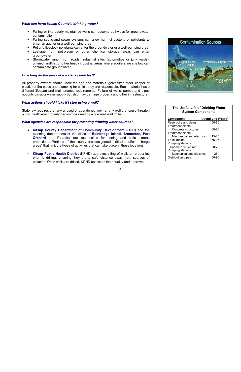#### *What can harm Kitsap County's drinking water?*

- Failing or improperly maintained wells can become pathways for groundwater contamination.
- Failing septic and sewer systems can allow harmful bacteria or pollutants to enter an aquifer or a well-pumping area.
- Pet and livestock pollutants can enter the groundwater or a well-pumping area.
- Leakage from petroleum or other chemical storage areas can enter groundwater.
- Stormwater runoff from roads, industrial sites (automotive or junk yards), unlined landfills, or other heavy industrial areas where aquifers are shallow can contaminate groundwater.

#### *How long do the parts of a water system last?*

All property owners should know the age and materials (galvanized steel, copper or plastic) of the pipes and plumbing for which they are responsible. Each material has a different lifespan and maintenance requirements. Failure of wells, pumps and pipes not only disrupts water supply but also may damage property and other infrastructure.

#### *What actions should I take if I stop using a well?*

State law requires that any unused or abandoned well--or any well that could threaten public health--be properly decommissioned by a licensed well driller.

#### *What agencies are responsible for protecting drinking water sources?*

- **Kitsap County Department of Community Development** (DCD) and the planning departments of the cities of **Bainbridge Island, Bremerton, Port Orchard** and **Poulsbo** are responsible for zoning and critical areas protections. Portions of the county are designated "critical aquifer recharge areas" that limit the types of activities that can take place in these locations.
- **Kitsap Public Health District** (KPHD) approves siting of wells on properties prior to drilling, ensuring they are a safe distance away from sources of pollution. Once wells are drilled, KPHD assesses their quality and approves



#### **The Useful Life of Drinking Water System Components**

| Component                 | <b>Useful Life (Years)</b> |
|---------------------------|----------------------------|
| Reservoirs and dams       | $50 - 80$                  |
| <b>Treatment plants</b>   |                            |
| Concrete structures       | 60-70                      |
| Treatment plants          |                            |
| Mechanical and electrical | 15-25                      |
| Trunk mains               | 65-95                      |
| Pumping stations          |                            |
| Concrete structures       | 60-70                      |
| Pumping stations          |                            |
| Mechanical and electrical | 25                         |
| Distribution pipes        | -95                        |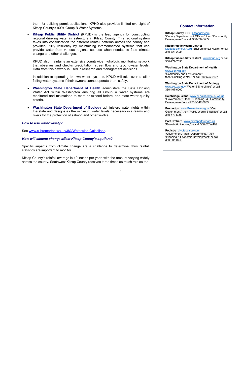them for building permit applications. KPHD also provides limited oversight of Kitsap County's 900+ Group B Water Systems.

 **Kitsap Public Utility District** (KPUD) is the lead agency for constructing regional drinking water infrastructure in Kitsap County. This regional system takes into consideration the different rainfall patterns across the county and provides utility resiliency by maintaining interconnected systems that can provide water from various regional sources when needed to face climate change and other challenges.

KPUD also maintains an extensive countywide hydrologic monitoring network that observes and checks precipitation, streamflow and groundwater levels. Data from this network is used in research and management decisions.

In addition to operating its own water systems, KPUD will take over smaller failing water systems if their owners cannot operate them safely.

- **Washington State Department of Health** administers the Safe Drinking Water Act within Washington ensuring all Group A water systems are monitored and maintained to meet or exceed federal and state water quality criteria.
- **Washington State Department of Ecology** administers water rights within the state and designates the minimum water levels necessary in streams and rivers for the protection of salmon and other wildlife.

#### *How to use water wisely?*

See www.ci.bremerton.wa.us/383/Waterwise-Guidelines.

#### *How will climate change affect Kitsap County's aquifers?*

Specific impacts from climate change are a challenge to determine, thus rainfall statistics are important to monitor.

Kitsap County's rainfall average is 40 inches per year, with the amount varying widely across the county. Southwest Kitsap County receives three times as much rain as the

#### **Contact Information**

**Kitsap County DCD** kitsapgov.com "County Departments & Offices," then "Community Development," or call 360-337-5777

#### **Kitsap Public Health District**

kitsappublichealth.org "Environmental Health" or call 360-728-2235

**Kitsap Public Utility District** www.kpud.org or call 360-779-7656

#### **Washington State Department of Health** www.doh.wa.gov

"Community and Environment," then "Drinking Water," or call 800-525-0127

**Washington State Department of Ecology**  www.ecy.wa.gov "Water & Shorelines" or call 360-407-6000

**Bainbridge Island** www.ci.bainbridge-isl.wa.us "Government," then "Planning & Community Development" or call 206-842-7633

**Bremerton** www.Bremertonwa.gov "Our Government," then "Public Works & Utilities" or call 360-473-5290

**Port Orchard** www.cityofportorchard.us "Permits & Licensing" or call 360-876-4407

#### **Poulsbo** cityofpoulsbo.com "Government," then "Departments," then "Planning & Economic Development" or call 360-394-9748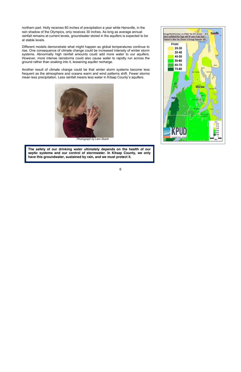northern part. Holly receives 80 inches of precipitation a year while Hansville, in the rain shadow of the Olympics, only receives 30 inches. As long as average annual rainfall remains at current levels, groundwater stored in the aquifers is expected to be at stable levels.

Different models demonstrate what might happen as global temperatures continue to rise. One consequence of climate change could be increased intensity of winter storm systems. Abnormally high rainfall amounts could add more water to our aquifers. However, more intense rainstorms could also cause water to rapidly run across the ground rather than soaking into it, lessening aquifer recharge.

Another result of climate change could be that winter storm systems become less frequent as the atmosphere and oceans warm and wind patterns shift. Fewer storms mean less precipitation. Less rainfall means less water in Kitsap County's aquifers.



*Photograph by Leni Skarin* 

**The safety of our drinking water ultimately depends on the health of our septic systems and our control of stormwater. In Kitsap County, we only have this groundwater, sustained by rain, and we must protect it.** 

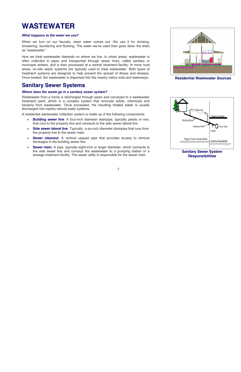# **WASTEWATER**

#### *What happens to the water we use?*

When we turn on our faucets, clean water comes out. We use it for drinking, showering, laundering and flushing. The water we've used then goes down the drain as "wastewater."

How we treat wastewater depends on where we live. In urban areas, wastewater is often collected in pipes and transported through sewer lines, called sanitary or municipal sewers, and is then processed at a central treatment facility. In more rural areas, on-site septic systems are typically used to treat wastewater. Both types of treatment systems are designed to help prevent the spread of illness and disease. Once treated, the wastewater is dispersed into the nearby native soils and waterways.

# **Sanitary Sewer Systems**

#### *Where does the waste go in a sanitary sewer system?*

Wastewater from a home is discharged through pipes and conveyed to a wastewater treatment plant, which is a complex system that removes solids, chemicals and bacteria from wastewater. Once processed, the resulting treated water is usually discharged into nearby natural water systems.

A residential wastewater collection system is made up of the following components:

- **Building sewer line**: A four-inch diameter drainpipe, typically plastic or iron, that runs to the property line and connects to the side sewer lateral line.
- **Side sewer lateral line**: Typically, a six-inch diameter drainpipe that runs from the property line to the sewer main.
- **Sewer cleanout**: A vertical capped pipe that provides access to remove blockages in the building sewer line.
- **Sewer main**: A pipe, typically eight-inch or larger diameter, which connects to the side sewer line and conveys the wastewater to a pumping station or a sewage treatment facility. The sewer utility is responsible for the sewer main.



**Residential Wastewater Sources**



**Sanitary Sewer System Responsibilities**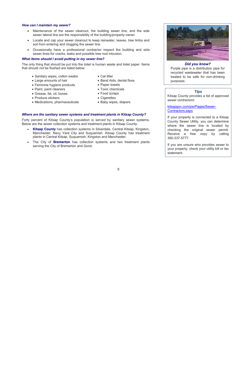#### *How can I maintain my sewer?*

- Maintenance of the sewer cleanout, the building sewer line, and the side sewer lateral line are the responsibility of the building/property owner.
- Locate and cap your sewer cleanout to keep rainwater, leaves, tree limbs and soil from entering and clogging the sewer line.
- Occasionally have a professional contractor inspect the building and side sewer lines for cracks, leaks and possible tree root intrusion.

#### *What items should I avoid putting in my sewer line?*

The only thing that should be put into the toilet is human waste and toilet paper. Items that should *not* be flushed are listed below:

- Sanitary wipes, cotton swabs
- Large amounts of hair
- Feminine hygiene products
- Paint, paint cleaners
- Grease, fat, oil, bones
- Produce stickers
- Medications, pharmaceuticals
- Cat litter
- Band Aids, dental floss
- Paper towels
- Toxic chemicals
- Food scraps
- Cigarettes
- Baby wipes, diapers

#### *Where are the sanitary sewer systems and treatment plants in Kitsap County?*

Forty percent of Kitsap County's population is served by sanitary sewer systems. Below are the sewer collection systems and treatment plants in Kitsap County:

- **Kitsap County** has collection systems in Silverdale, Central Kitsap, Kingston, Manchester, Navy Yard City and Suquamish. Kitsap County has treatment plants in Central Kitsap, Suquamish, Kingston and Manchester.
- The City of **Bremerton** has collection systems and two treatment plants serving the City of Bremerton and Gorst.



#### *Did you know?*

Purple pipe is a distribution pipe for recycled wastewater that has been treated to be safe for non-drinking purposes.

#### *Tips*

Kitsap County provides a list of approved sewer contractors:

kitsapgov.com/pw/Pages/Sewer-Contractors.aspx

If your property is connected to a Kitsap County Sewer Utility, you can determine where the sewer line is located by checking the original sewer permit. Receive a free copy by calling 360-337-5777.

If you are unsure who provides sewer to your property, check your utility bill or tax statement.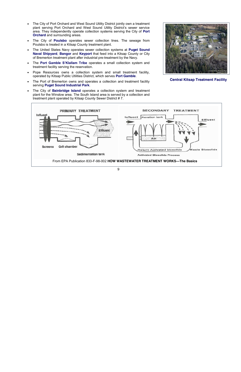- The City of Port Orchard and West Sound Utility District jointly own a treatment plant serving Port Orchard and West Sound Utility District's sewer service area. They independently operate collection systems serving the City of **Port Orchard** and surrounding areas.
- The City of **Poulsbo** operates sewer collection lines. The sewage from Poulsbo is treated in a Kitsap County treatment plant.
- The United States Navy operates sewer collection systems at **Puget Sound Naval Shipyard**, **Bangor** and **Keyport** that feed into a Kitsap County or City of Bremerton treatment plant after industrial pre-treatment by the Navy.
- The **Port Gamble S'Klallam Tribe** operates a small collection system and treatment facility serving the reservation.
- Pope Resources owns a collection system and small treatment facility, operated by Kitsap Public Utilities District, which serves **Port Gamble**.
- The Port of Bremerton owns and operates a collection and treatment facility serving **Puget Sound Industrial Park**.
- The City of **Bainbridge Island** operates a collection system and treatment plant for the Winslow area. The South Island area is served by a collection and treatment plant operated by Kitsap County Sewer District # 7.



**Central Kitsap Treatment Facility**

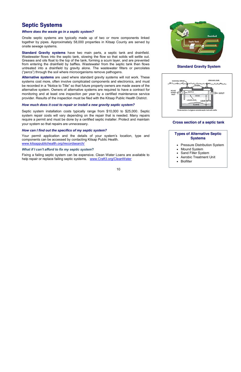## **Septic Systems**

#### *Where does the waste go in a septic system?*

Onsite septic systems are typically made up of two or more components linked together by pipes. Approximately 58,000 properties in Kitsap County are served by onsite sewage systems.

**Standard Gravity systems** have two main parts, a septic tank and drainfield. Wastewater flows into the septic tank, slowing the flow so that solids will settle out. Greases and oils float to the top of the tank, forming a scum layer, and are prevented from entering the drainfield by baffles. Wastewater from the septic tank then flows untreated into a drainfield by gravity alone. The wastewater filters or percolates ("percs") through the soil where microorganisms remove pathogens.

**Alternative systems** are used where standard gravity systems will not work. These systems cost more, often involve complicated components and electronics, and must be recorded in a "Notice to Title" so that future property owners are made aware of the alternative system. Owners of alternative systems are required to have a contract for monitoring and at least one inspection per year by a certified maintenance service provider. Results of the inspection must be filed with the Kitsap Public Health District.

#### *How much does it cost to repair or install a new gravity septic system?*

Septic system installation costs typically range from \$10,000 to \$25,000. Septic system repair costs will vary depending on the repair that is needed. Many repairs require a permit and must be done by a certified septic installer. Protect and maintain your system so that repairs are unnecessary.

#### *How can I find out the specifics of my septic system?*

Your permit application and the details of your system's location, type and components can be accessed by contacting Kitsap Public Health. www.kitsappublichealth.org/irecordsearch/

#### *What if I can't afford to fix my septic system***?**

Fixing a failing septic system can be expensive. Clean Water Loans are available to help repair or replace failing septic systems. www.Craft3.org/CleanWater



**Standard Gravity System**



#### **Cross section of a septic tank**

### **Types of Alternative Septic Systems**

- Pressure Distribution System
- Mound System
- Sand Filter System
- Aerobic Treatment Unit
- Biofilter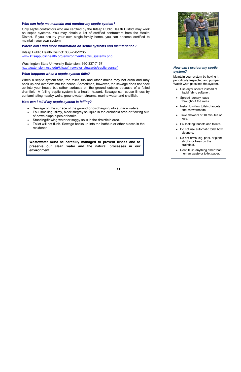#### *Who can help me maintain and monitor my septic system?*

Only septic contractors who are certified by the Kitsap Public Health District may work on septic systems. You may obtain a list of certified contractors from the Health District. If you occupy your own single-family home, you can become certified to maintain your own system.

#### *Where can I find more information on septic systems and maintenance?*

Kitsap Public Health District: 360-728-2235 www.kitsappublichealth.org/environment/septic\_systems.php

Washington State University Extension: 360-337-7157 http://extension.wsu.edu/kitsap/nrs/water-stewards/septic-sense/

#### *What happens when a septic system fails?*

When a septic system fails, the toilet, tub and other drains may not drain and may back up and overflow into the house. Sometimes, however, the sewage does not back up into your house but rather surfaces on the ground outside because of a failed drainfield. A failing septic system is a health hazard. Sewage can cause illness by contaminating nearby wells, groundwater, streams, marine water and shellfish.

#### *How can I tell if my septic system is failing?*

- Sewage on the surface of the ground or discharging into surface waters.
- Foul smelling, slimy, blackish/greyish liquid in the drainfield area or flowing out of down-slope pipes or banks.
- Standing/flowing water or soggy soils in the drainfield area.
- Toilet will not flush. Sewage backs up into the bathtub or other places in the residence.

**Wastewater must be carefully managed to prevent illness and to preserve our clean water and the natural processes in our environment.**



#### *How can I protect my septic system?*

Maintain your system by having it periodically inspected and pumped. Watch what goes into the system.

- Use dryer sheets instead of liquid fabric softener.
- Spread laundry loads throughout the week.
- Install low-flow toilets, faucets and showerheads.
- Take showers of 10 minutes or less.
- Fix leaking faucets and toilets.
- Do not use automatic toilet bowl cleaners.
- Do not drive, dig, park, or plant shrubs or trees on the drainfield.
- Don't flush anything other than human waste or toilet paper.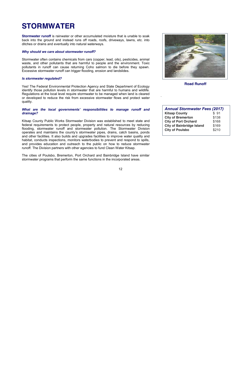# **STORMWATER**

**Stormwater runoff** is rainwater or other accumulated moisture that is unable to soak back into the ground and instead runs off roads, roofs, driveways, lawns, etc. into ditches or drains and eventually into natural waterways.

#### *Why should we care about stormwater runoff?*

Stormwater often contains chemicals from cars (copper, lead, oils), pesticides, animal waste, and other pollutants that are harmful to people and the environment. Toxic pollutants in runoff can cause returning Coho salmon to die before they spawn. Excessive stormwater runoff can trigger flooding, erosion and landslides.

#### *Is stormwater regulated?*

Yes! The Federal Environmental Protection Agency and State Department of Ecology identify those pollution levels in stormwater that are harmful to humans and wildlife. Regulations at the local level require stormwater to be managed when land is cleared or developed to reduce the risk from excessive stormwater flows and protect water quality.

#### *What are the local governments' responsibilities to manage runoff and drainage?*

Kitsap County Public Works Stormwater Division was established to meet state and federal requirements to protect people, property and natural resources by reducing flooding, stormwater runoff and stormwater pollution. The Stormwater Division operates and maintains the county's stormwater pipes, drains, catch basins, ponds and other facilities. It also builds and upgrades facilities to improve water quality and habitat, conducts inspections, monitors waterbodies to prevent and respond to spills, and provides education and outreach to the public on how to reduce stormwater runoff. The Division partners with other agencies to fund Clean Water Kitsap.

The cities of Poulsbo, Bremerton, Port Orchard and Bainbridge Island have similar stormwater programs that perform the same functions in the incorporated areas.



**Road Runoff**

.

| <b>Annual Stormwater Fees (2017)</b> |       |  |
|--------------------------------------|-------|--|
| <b>Kitsap County</b>                 | \$91  |  |
| <b>City of Bremerton</b>             | \$138 |  |
| <b>City of Port Orchard</b>          | \$168 |  |
| <b>City of Bainbridge Island</b>     | \$169 |  |
| <b>City of Poulsbo</b>               | \$210 |  |
|                                      |       |  |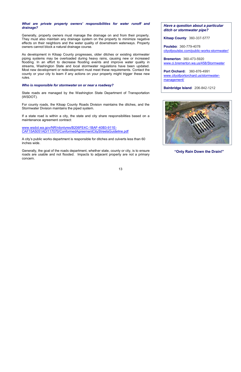#### *What are private property owners' responsibilities for water runoff and drainage?*

Generally, property owners must manage the drainage on and from their property. They must also maintain any drainage system on the property to minimize negative effects on their neighbors and the water quality of downstream waterways. Property owners cannot block a natural drainage course.

As development in Kitsap County progresses, older ditches or existing stormwater piping systems may be overloaded during heavy rains, causing new or increased flooding. In an effort to decrease flooding events and improve water quality in streams, Washington State and local stormwater regulations have been updated. Most new development or redevelopment must meet these requirements. Contact the county or your city to learn if any actions on your property might trigger these new rules.

#### *Who is responsible for stormwater on or near a roadway?*

State roads are managed by the Washington State Department of Transportation (WSDOT).

For county roads, the Kitsap County Roads Division maintains the ditches, and the Stormwater Division maintains the piped system.

If a state road is within a city, the state and city share responsibilities based on a maintenance agreement contract:

www.wsdot.wa.gov/NR/rdonlyres/B206FE4C-1BAF-40B3-911E-CAF15A5051AD/117070/ConformedAgreementCityStreetsGuideline.pdf

A city's public works department is responsible for ditches and culverts less than 60 inches wide.

Generally, the goal of the roads department, whether state, county or city, is to ensure roads are usable and not flooded. Impacts to adjacent property are not a primary concern.

*Have a question about a particular ditch or stormwater pipe?* 

**Kitsap County**: 360-337-5777

**Poulsbo**: 360-779-4078 cityofpoulsbo.com/public-works-stormwater/

**Bremerton**: 360-473-5920 www.ci.bremerton.wa.us/458/Stormwater

**Port Orchard:** 360-876-4991 www.cityofportorchard.us/stormwatermanagement/

**Bainbridge Island**: 206-842-1212



**"Only Rain Down the Drain!"**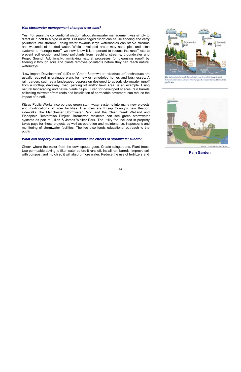#### *Has stormwater management changed over time?*

Yes! For years the conventional wisdom about stormwater management was simply to direct all runoff to a pipe or ditch. But unmanaged runoff can cause flooding and carry pollutants into streams. Piping water towards large waterbodies can starve streams and wetlands of needed water. While developed areas may need pipe and ditch systems to manage runoff, we now know it is important to reduce the runoff rate to prevent soil erosion and keep pollutants from reaching streams, groundwater and Puget Sound. Additionally, mimicking natural processes for cleansing runoff by filtering it through soils and plants removes pollutants before they can reach natural waterways.

"Low Impact Development" (LID) or "Green Stormwater Infrastructure" techniques are usually required in drainage plans for new or remodeled homes and businesses. A rain garden, such as a landscaped depression designed to absorb stormwater runoff from a rooftop, driveway, road, parking lot and/or lawn area, is an example. Using natural landscaping and native plants helps. Even for developed spaces, rain barrels collecting rainwater from roofs and installation of permeable pavement can reduce the impact of runoff.

Kitsap Public Works incorporates green stormwater systems into many new projects and modifications of older facilities. Examples are Kitsap County's new Keyport sidewalks, the Manchester Stormwater Park, and the Clear Creek Wetland and Floodplain Restoration Project. Bremerton residents can see green stormwater systems as part of Lillian & James Walker Park. The utility fee included in property taxes pays for these projects as well as operation and maintenance, inspections and monitoring of stormwater facilities. The fee also funds educational outreach to the public.

#### *What can property owners do to minimize the effects of stormwater runoff?*

Check where the water from the downspouts goes. Create raingardens. Plant trees. Use permeable paving to filter water before it runs off. Install rain barrels. Improve soil with compost and mulch so it will absorb more water. Reduce the use of fertilizers and **Rain Garden** 



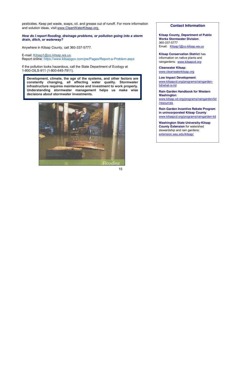pesticides. Keep pet waste, soaps, oil, and grease out of runoff. For more information and solution ideas, visit www.CleanWaterKitsap.org.

#### *How do I report flooding, drainage problems, or pollution going into a storm drain, ditch, or waterway?*

Anywhere in Kitsap County, call 360-337-5777.

E-mail: Kitsap1@co.kitsap.wa.us. Report online: https://www.kitsapgov.com/pw/Pages/Report-a-Problem.aspx

If the pollution looks hazardous, call the State Department of Ecology at 1-800-OILS-911 (1-800-645-7911).

**Development, climate, the age of the systems, and other factors are constantly changing, all affecting water quality. Stormwater infrastructure requires maintenance and investment to work properly. Understanding stormwater management helps us make wise decisions about stormwater investments.**



#### **Contact Information**

**Kitsap County, Department of Public Works Stormwater Division**: 360-337-5777 Email: Kitsap1@co.kitsap.wa.us

**Kitsap Conservation District** has information on native plants and raingardens: www.kitsapcd.org

**Cleanwater Kitsap**: www.cleanwaterkitsap.org

**Low Impact Development**: www.kitsapcd.org/programs/raingardenlid/what-is-lid

**Rain Garden Handbook for Western Washington**: www.kitsap.cd.org/programs/raingarden/lid /resources

**Rain Garden Incentive Rebate Program in unincorporated Kitsap County**: www.kitsapcd.org/programs/raingarden-lid

**Washington State University-Kitsap County Extension** for watershed stewardship and rain gardens: extension.wsu.edu/kitsap/